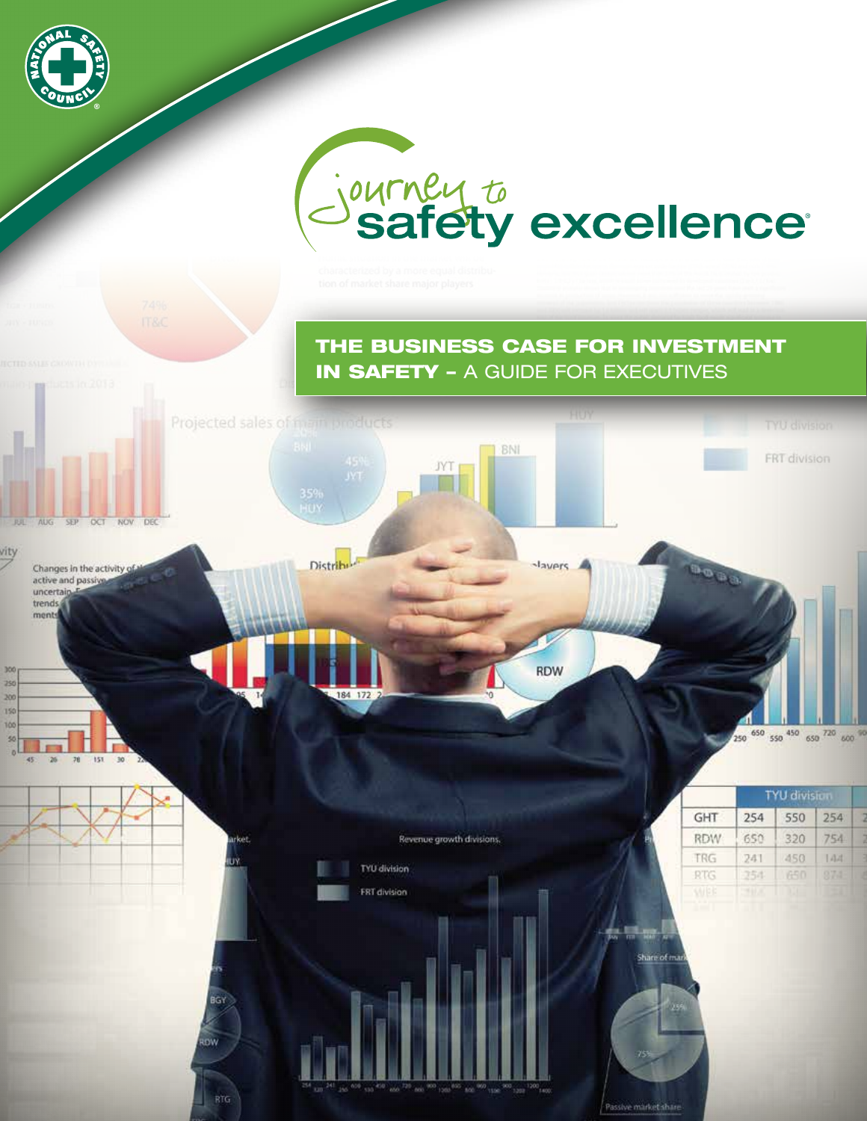

# Journey to excellence

# The Business Case for Investment **IN SAFETY - A GUIDE FOR EXECUTIVES**

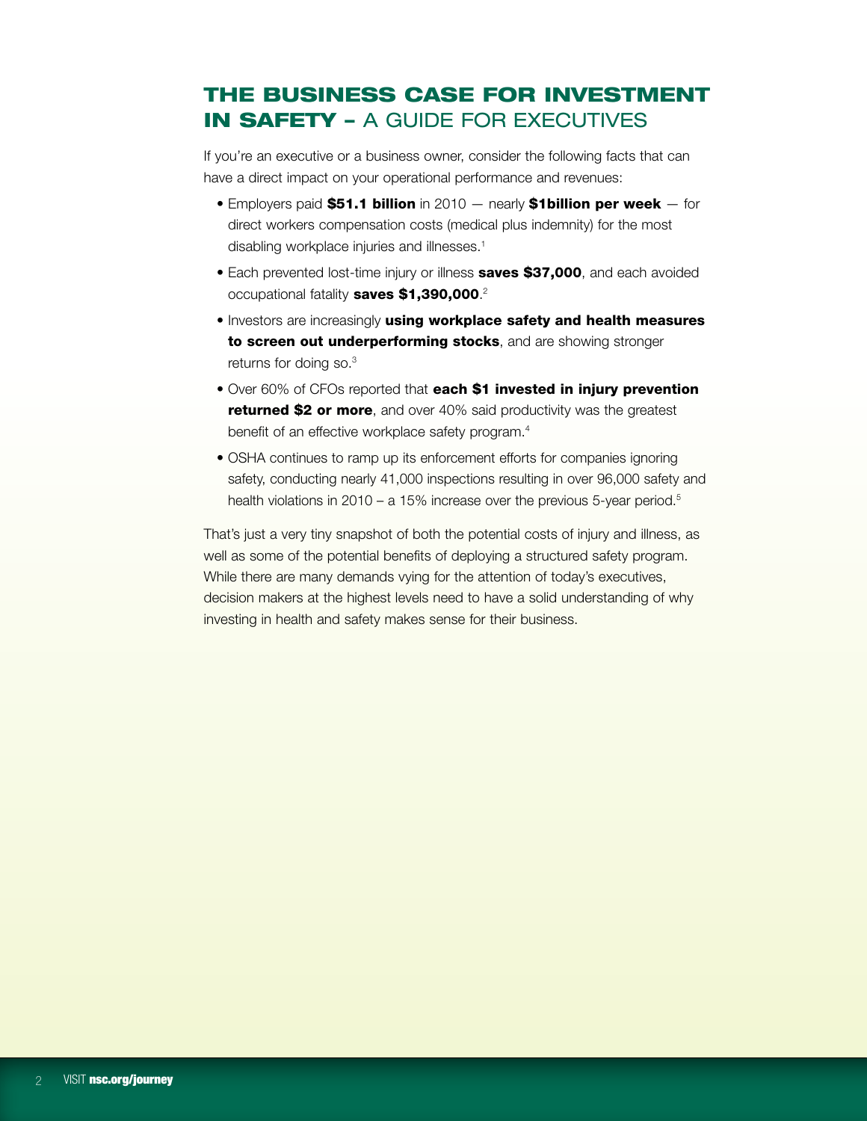# The Business Case for Investment in Safety – A guide for executives

If you're an executive or a business owner, consider the following facts that can have a direct impact on your operational performance and revenues:

- Employers paid \$51.1 billion in 2010  $-$  nearly \$1billion per week  $-$  for direct workers compensation costs (medical plus indemnity) for the most disabling workplace injuries and illnesses.<sup>1</sup>
- Each prevented lost-time injury or illness saves \$37,000, and each avoided occupational fatality saves \$1,390,000.<sup>2</sup>
- **Investors are increasingly using workplace safety and health measures** to screen out underperforming stocks, and are showing stronger returns for doing so.3
- Over 60% of CFOs reported that each \$1 invested in injury prevention **returned \$2 or more**, and over 40% said productivity was the greatest benefit of an effective workplace safety program.<sup>4</sup>
- OSHA continues to ramp up its enforcement efforts for companies ignoring safety, conducting nearly 41,000 inspections resulting in over 96,000 safety and health violations in 2010 – a 15% increase over the previous 5-year period.<sup>5</sup>

That's just a very tiny snapshot of both the potential costs of injury and illness, as well as some of the potential benefits of deploying a structured safety program. While there are many demands vying for the attention of today's executives, decision makers at the highest levels need to have a solid understanding of why investing in health and safety makes sense for their business.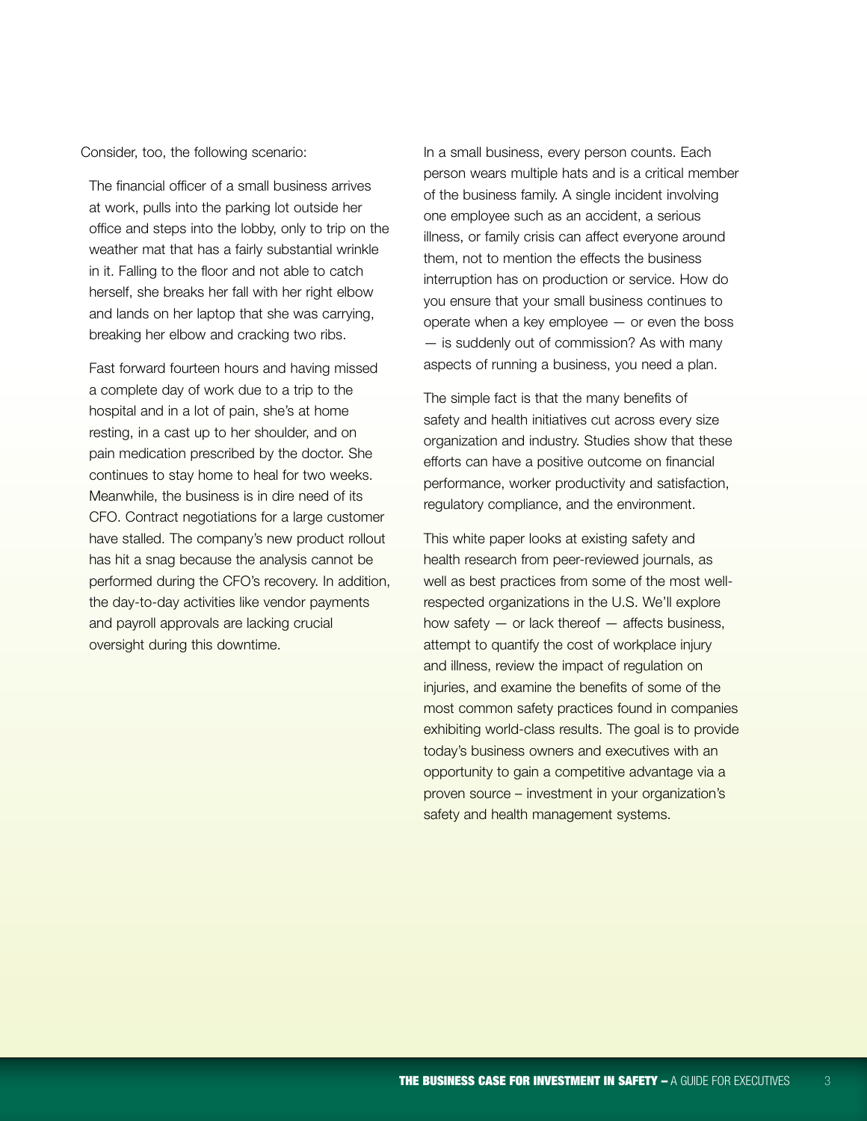Consider, too, the following scenario:

The financial officer of a small business arrives at work, pulls into the parking lot outside her office and steps into the lobby, only to trip on the weather mat that has a fairly substantial wrinkle in it. Falling to the floor and not able to catch herself, she breaks her fall with her right elbow and lands on her laptop that she was carrying, breaking her elbow and cracking two ribs.

Fast forward fourteen hours and having missed a complete day of work due to a trip to the hospital and in a lot of pain, she's at home resting, in a cast up to her shoulder, and on pain medication prescribed by the doctor. She continues to stay home to heal for two weeks. Meanwhile, the business is in dire need of its CFO. Contract negotiations for a large customer have stalled. The company's new product rollout has hit a snag because the analysis cannot be performed during the CFO's recovery. In addition, the day-to-day activities like vendor payments and payroll approvals are lacking crucial oversight during this downtime.

In a small business, every person counts. Each person wears multiple hats and is a critical member of the business family. A single incident involving one employee such as an accident, a serious illness, or family crisis can affect everyone around them, not to mention the effects the business interruption has on production or service. How do you ensure that your small business continues to operate when a key employee — or even the boss — is suddenly out of commission? As with many aspects of running a business, you need a plan.

The simple fact is that the many benefits of safety and health initiatives cut across every size organization and industry. Studies show that these efforts can have a positive outcome on financial performance, worker productivity and satisfaction, regulatory compliance, and the environment.

This white paper looks at existing safety and health research from peer-reviewed journals, as well as best practices from some of the most wellrespected organizations in the U.S. We'll explore how safety  $-$  or lack thereof  $-$  affects business, attempt to quantify the cost of workplace injury and illness, review the impact of regulation on injuries, and examine the benefits of some of the most common safety practices found in companies exhibiting world-class results. The goal is to provide today's business owners and executives with an opportunity to gain a competitive advantage via a proven source – investment in your organization's safety and health management systems.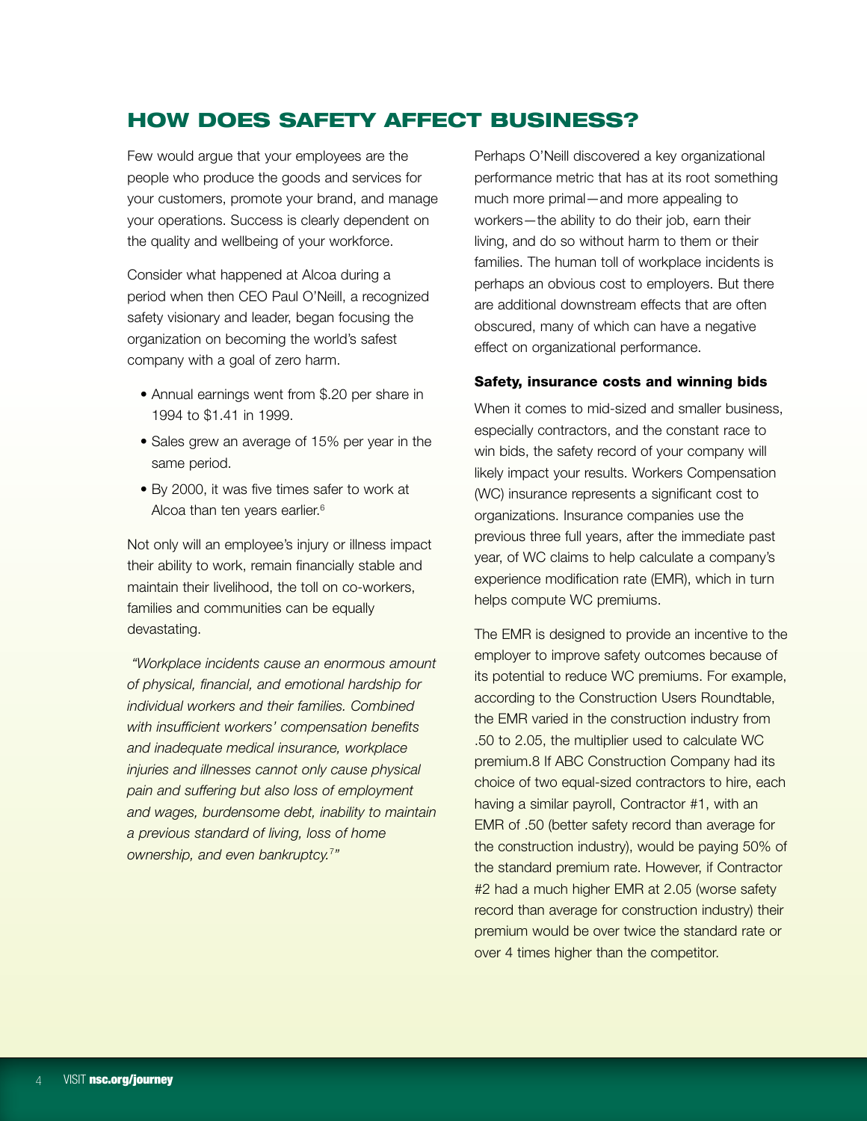# How Does Safety Affect Business?

Few would argue that your employees are the people who produce the goods and services for your customers, promote your brand, and manage your operations. Success is clearly dependent on the quality and wellbeing of your workforce.

Consider what happened at Alcoa during a period when then CEO Paul O'Neill, a recognized safety visionary and leader, began focusing the organization on becoming the world's safest company with a goal of zero harm.

- Annual earnings went from \$.20 per share in 1994 to \$1.41 in 1999.
- Sales grew an average of 15% per year in the same period.
- By 2000, it was five times safer to work at Alcoa than ten years earlier.<sup>6</sup>

Not only will an employee's injury or illness impact their ability to work, remain financially stable and maintain their livelihood, the toll on co-workers, families and communities can be equally devastating.

*"Workplace incidents cause an enormous amount of physical, financial, and emotional hardship for individual workers and their families. Combined with insufficient workers' compensation benefits and inadequate medical insurance, workplace injuries and illnesses cannot only cause physical pain and suffering but also loss of employment and wages, burdensome debt, inability to maintain a previous standard of living, loss of home ownership, and even bankruptcy.*<sup>7</sup> *"*

Perhaps O'Neill discovered a key organizational performance metric that has at its root something much more primal—and more appealing to workers—the ability to do their job, earn their living, and do so without harm to them or their families. The human toll of workplace incidents is perhaps an obvious cost to employers. But there are additional downstream effects that are often obscured, many of which can have a negative effect on organizational performance.

## Safety, insurance costs and winning bids

When it comes to mid-sized and smaller business, especially contractors, and the constant race to win bids, the safety record of your company will likely impact your results. Workers Compensation (WC) insurance represents a significant cost to organizations. Insurance companies use the previous three full years, after the immediate past year, of WC claims to help calculate a company's experience modification rate (EMR), which in turn helps compute WC premiums.

The EMR is designed to provide an incentive to the employer to improve safety outcomes because of its potential to reduce WC premiums. For example, according to the Construction Users Roundtable, the EMR varied in the construction industry from .50 to 2.05, the multiplier used to calculate WC premium.8 If ABC Construction Company had its choice of two equal-sized contractors to hire, each having a similar payroll, Contractor #1, with an EMR of .50 (better safety record than average for the construction industry), would be paying 50% of the standard premium rate. However, if Contractor #2 had a much higher EMR at 2.05 (worse safety record than average for construction industry) their premium would be over twice the standard rate or over 4 times higher than the competitor.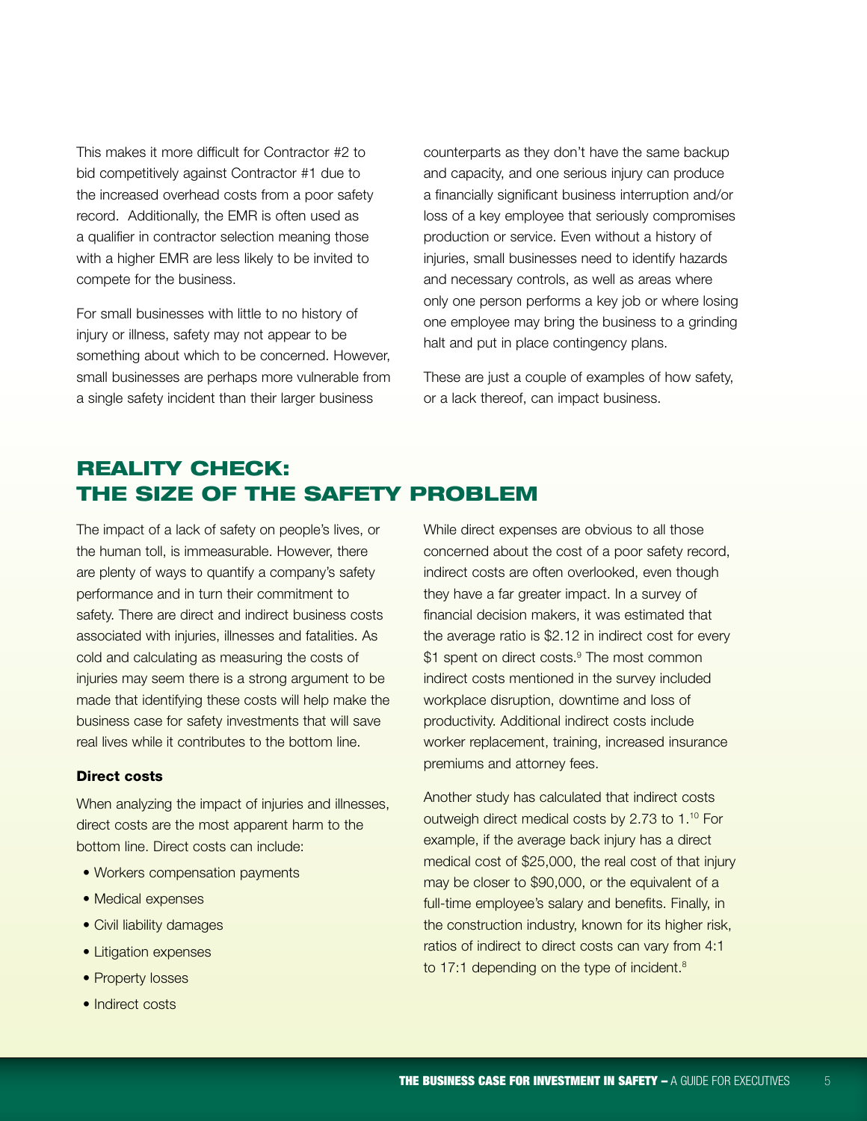This makes it more difficult for Contractor #2 to bid competitively against Contractor #1 due to the increased overhead costs from a poor safety record. Additionally, the EMR is often used as a qualifier in contractor selection meaning those with a higher EMR are less likely to be invited to compete for the business.

For small businesses with little to no history of injury or illness, safety may not appear to be something about which to be concerned. However, small businesses are perhaps more vulnerable from a single safety incident than their larger business

counterparts as they don't have the same backup and capacity, and one serious injury can produce a financially significant business interruption and/or loss of a key employee that seriously compromises production or service. Even without a history of injuries, small businesses need to identify hazards and necessary controls, as well as areas where only one person performs a key job or where losing one employee may bring the business to a grinding halt and put in place contingency plans.

These are just a couple of examples of how safety, or a lack thereof, can impact business.

# Reality Check: The Size of the Safety Problem

The impact of a lack of safety on people's lives, or the human toll, is immeasurable. However, there are plenty of ways to quantify a company's safety performance and in turn their commitment to safety. There are direct and indirect business costs associated with injuries, illnesses and fatalities. As cold and calculating as measuring the costs of injuries may seem there is a strong argument to be made that identifying these costs will help make the business case for safety investments that will save real lives while it contributes to the bottom line.

#### Direct costs

When analyzing the impact of injuries and illnesses, direct costs are the most apparent harm to the bottom line. Direct costs can include:

- Workers compensation payments
- Medical expenses
- Civil liability damages
- Litigation expenses
- Property losses
- Indirect costs

While direct expenses are obvious to all those concerned about the cost of a poor safety record, indirect costs are often overlooked, even though they have a far greater impact. In a survey of financial decision makers, it was estimated that the average ratio is \$2.12 in indirect cost for every \$1 spent on direct costs.<sup>9</sup> The most common indirect costs mentioned in the survey included workplace disruption, downtime and loss of productivity. Additional indirect costs include worker replacement, training, increased insurance premiums and attorney fees.

Another study has calculated that indirect costs outweigh direct medical costs by 2.73 to 1.10 For example, if the average back injury has a direct medical cost of \$25,000, the real cost of that injury may be closer to \$90,000, or the equivalent of a full-time employee's salary and benefits. Finally, in the construction industry, known for its higher risk, ratios of indirect to direct costs can vary from 4:1 to 17:1 depending on the type of incident.<sup>8</sup>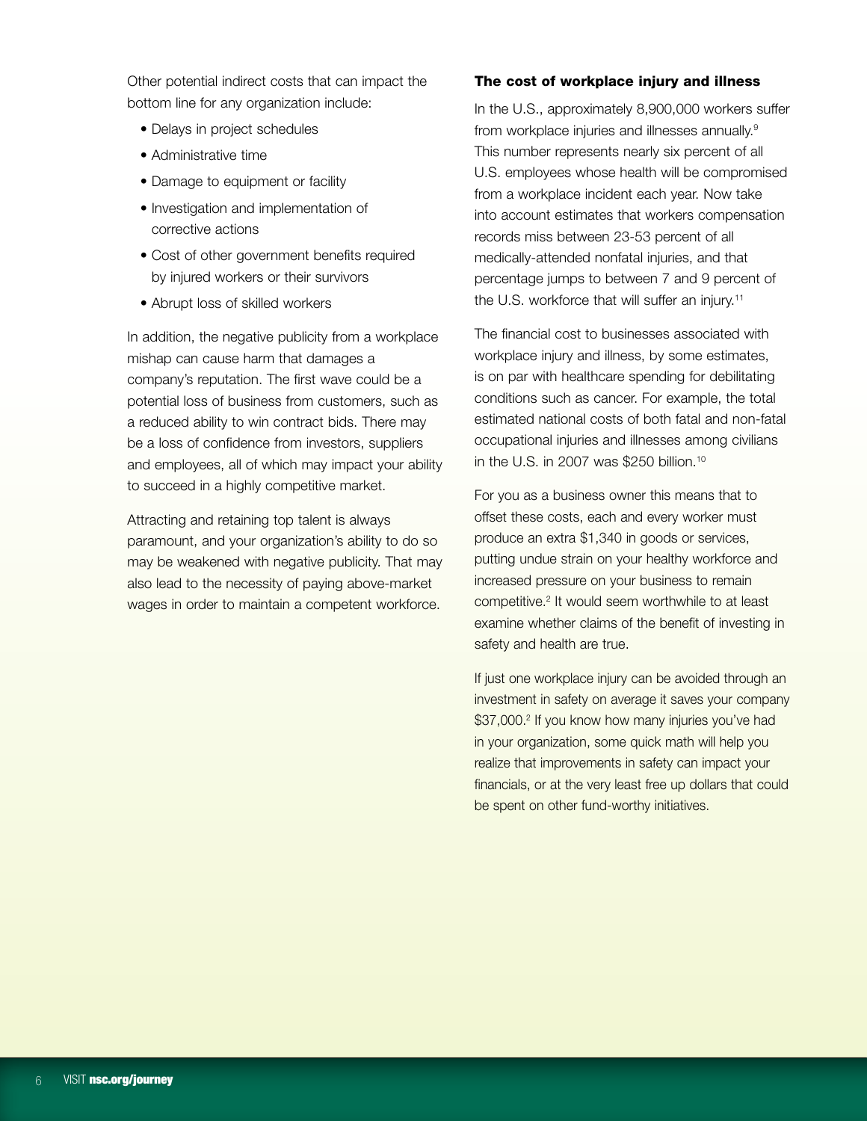Other potential indirect costs that can impact the bottom line for any organization include:

- Delays in project schedules
- Administrative time
- Damage to equipment or facility
- Investigation and implementation of corrective actions
- Cost of other government benefits required by injured workers or their survivors
- Abrupt loss of skilled workers

In addition, the negative publicity from a workplace mishap can cause harm that damages a company's reputation. The first wave could be a potential loss of business from customers, such as a reduced ability to win contract bids. There may be a loss of confidence from investors, suppliers and employees, all of which may impact your ability to succeed in a highly competitive market.

Attracting and retaining top talent is always paramount, and your organization's ability to do so may be weakened with negative publicity. That may also lead to the necessity of paying above-market wages in order to maintain a competent workforce.

# The cost of workplace injury and illness

In the U.S., approximately 8,900,000 workers suffer from workplace injuries and illnesses annually.9 This number represents nearly six percent of all U.S. employees whose health will be compromised from a workplace incident each year. Now take into account estimates that workers compensation records miss between 23-53 percent of all medically-attended nonfatal injuries, and that percentage jumps to between 7 and 9 percent of the U.S. workforce that will suffer an injury.<sup>11</sup>

The financial cost to businesses associated with workplace injury and illness, by some estimates, is on par with healthcare spending for debilitating conditions such as cancer. For example, the total estimated national costs of both fatal and non-fatal occupational injuries and illnesses among civilians in the U.S. in 2007 was \$250 billion.<sup>10</sup>

For you as a business owner this means that to offset these costs, each and every worker must produce an extra \$1,340 in goods or services, putting undue strain on your healthy workforce and increased pressure on your business to remain competitive.<sup>2</sup> It would seem worthwhile to at least examine whether claims of the benefit of investing in safety and health are true.

If just one workplace injury can be avoided through an investment in safety on average it saves your company \$37,000.<sup>2</sup> If you know how many injuries you've had in your organization, some quick math will help you realize that improvements in safety can impact your financials, or at the very least free up dollars that could be spent on other fund-worthy initiatives.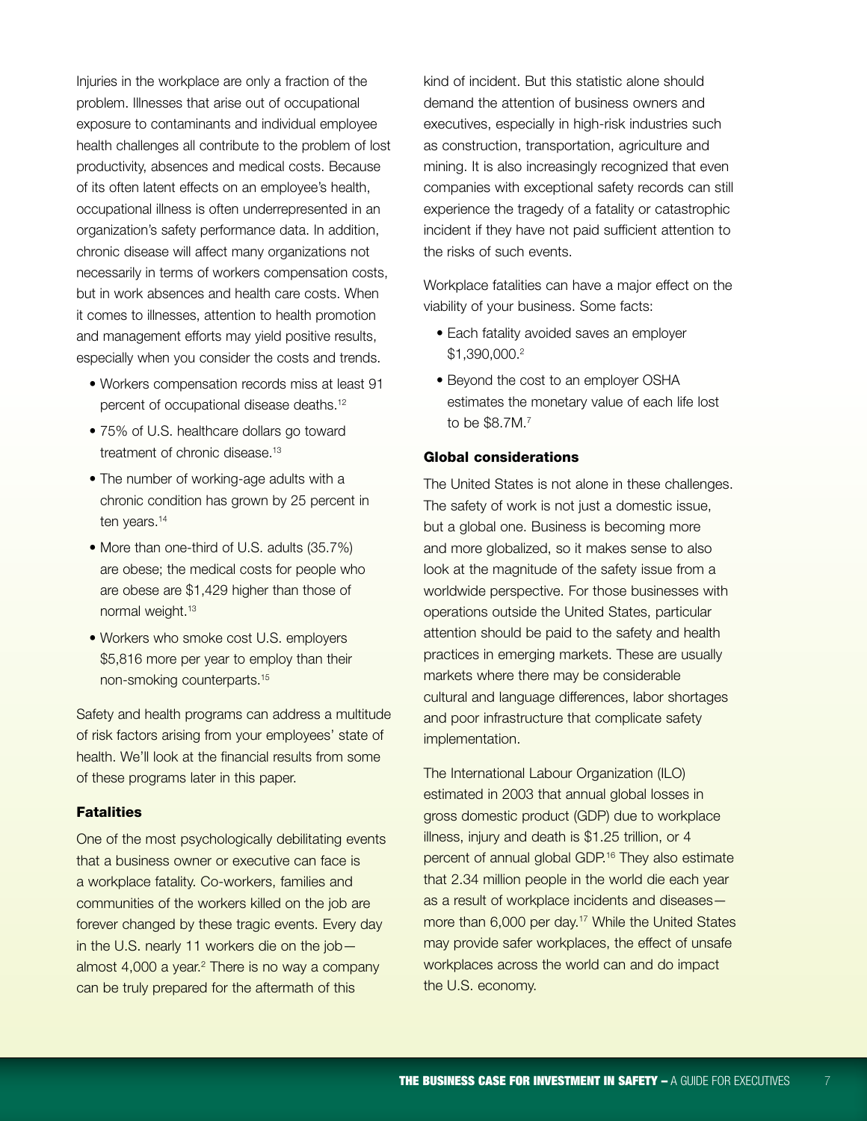Injuries in the workplace are only a fraction of the problem. Illnesses that arise out of occupational exposure to contaminants and individual employee health challenges all contribute to the problem of lost productivity, absences and medical costs. Because of its often latent effects on an employee's health, occupational illness is often underrepresented in an organization's safety performance data. In addition, chronic disease will affect many organizations not necessarily in terms of workers compensation costs, but in work absences and health care costs. When it comes to illnesses, attention to health promotion and management efforts may yield positive results, especially when you consider the costs and trends.

- Workers compensation records miss at least 91 percent of occupational disease deaths.<sup>12</sup>
- 75% of U.S. healthcare dollars go toward treatment of chronic disease.<sup>13</sup>
- The number of working-age adults with a chronic condition has grown by 25 percent in ten years.<sup>14</sup>
- More than one-third of U.S. adults (35.7%) are obese; the medical costs for people who are obese are \$1,429 higher than those of normal weight.<sup>13</sup>
- Workers who smoke cost U.S. employers \$5,816 more per year to employ than their non-smoking counterparts.15

Safety and health programs can address a multitude of risk factors arising from your employees' state of health. We'll look at the financial results from some of these programs later in this paper.

## **Fatalities**

One of the most psychologically debilitating events that a business owner or executive can face is a workplace fatality. Co-workers, families and communities of the workers killed on the job are forever changed by these tragic events. Every day in the U.S. nearly 11 workers die on the job almost 4,000 a year.<sup>2</sup> There is no way a company can be truly prepared for the aftermath of this

kind of incident. But this statistic alone should demand the attention of business owners and executives, especially in high-risk industries such as construction, transportation, agriculture and mining. It is also increasingly recognized that even companies with exceptional safety records can still experience the tragedy of a fatality or catastrophic incident if they have not paid sufficient attention to the risks of such events.

Workplace fatalities can have a major effect on the viability of your business. Some facts:

- Each fatality avoided saves an employer \$1,390,000.2
- Beyond the cost to an employer OSHA estimates the monetary value of each life lost to be \$8.7M.7

#### Global considerations

The United States is not alone in these challenges. The safety of work is not just a domestic issue, but a global one. Business is becoming more and more globalized, so it makes sense to also look at the magnitude of the safety issue from a worldwide perspective. For those businesses with operations outside the United States, particular attention should be paid to the safety and health practices in emerging markets. These are usually markets where there may be considerable cultural and language differences, labor shortages and poor infrastructure that complicate safety implementation.

The International Labour Organization (ILO) estimated in 2003 that annual global losses in gross domestic product (GDP) due to workplace illness, injury and death is \$1.25 trillion, or 4 percent of annual global GDP.16 They also estimate that 2.34 million people in the world die each year as a result of workplace incidents and diseases more than 6,000 per day.<sup>17</sup> While the United States may provide safer workplaces, the effect of unsafe workplaces across the world can and do impact the U.S. economy.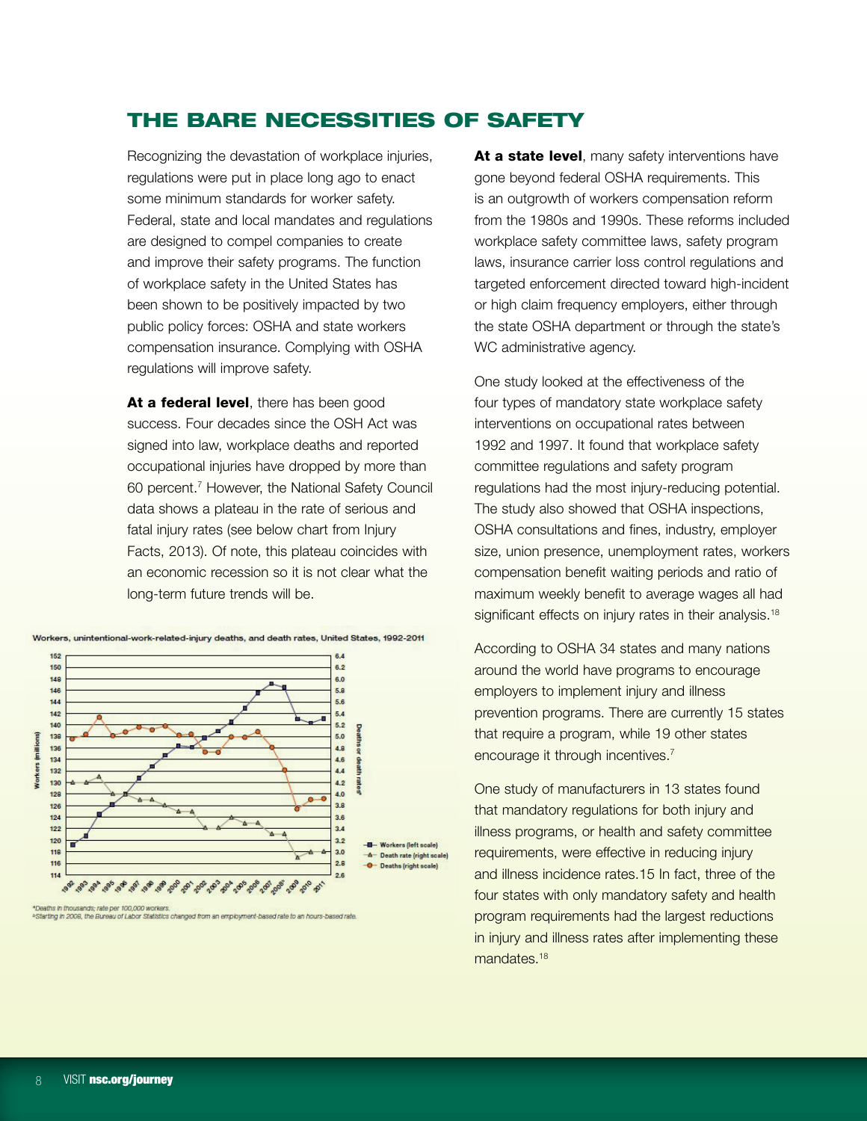# The Bare Necessities of Safety

Recognizing the devastation of workplace injuries, regulations were put in place long ago to enact some minimum standards for worker safety. Federal, state and local mandates and regulations are designed to compel companies to create and improve their safety programs. The function of workplace safety in the United States has been shown to be positively impacted by two public policy forces: OSHA and state workers compensation insurance. Complying with OSHA regulations will improve safety.

At a federal level, there has been good success. Four decades since the OSH Act was signed into law, workplace deaths and reported occupational injuries have dropped by more than 60 percent.7 However, the National Safety Council data shows a plateau in the rate of serious and fatal injury rates (see below chart from Injury Facts, 2013). Of note, this plateau coincides with an economic recession so it is not clear what the long-term future trends will be.



Workers, unintentional-work-related-injury deaths, and death rates, United States, 1992-2011

.<br>"Deaths in thousands; rate per 100,000 workers.<br>\*Starting in 2008, the Bureau of Labor Statistics changed from an employment-based rate to an hours-based rate.

At a state level, many safety interventions have gone beyond federal OSHA requirements. This is an outgrowth of workers compensation reform from the 1980s and 1990s. These reforms included workplace safety committee laws, safety program laws, insurance carrier loss control regulations and targeted enforcement directed toward high-incident or high claim frequency employers, either through the state OSHA department or through the state's WC administrative agency.

One study looked at the effectiveness of the four types of mandatory state workplace safety interventions on occupational rates between 1992 and 1997. It found that workplace safety committee regulations and safety program regulations had the most injury-reducing potential. The study also showed that OSHA inspections, OSHA consultations and fines, industry, employer size, union presence, unemployment rates, workers compensation benefit waiting periods and ratio of maximum weekly benefit to average wages all had significant effects on injury rates in their analysis.<sup>18</sup>

According to OSHA 34 states and many nations around the world have programs to encourage employers to implement injury and illness prevention programs. There are currently 15 states that require a program, while 19 other states encourage it through incentives.<sup>7</sup>

One study of manufacturers in 13 states found that mandatory regulations for both injury and illness programs, or health and safety committee requirements, were effective in reducing injury and illness incidence rates.15 In fact, three of the four states with only mandatory safety and health program requirements had the largest reductions in injury and illness rates after implementing these mandates.<sup>18</sup>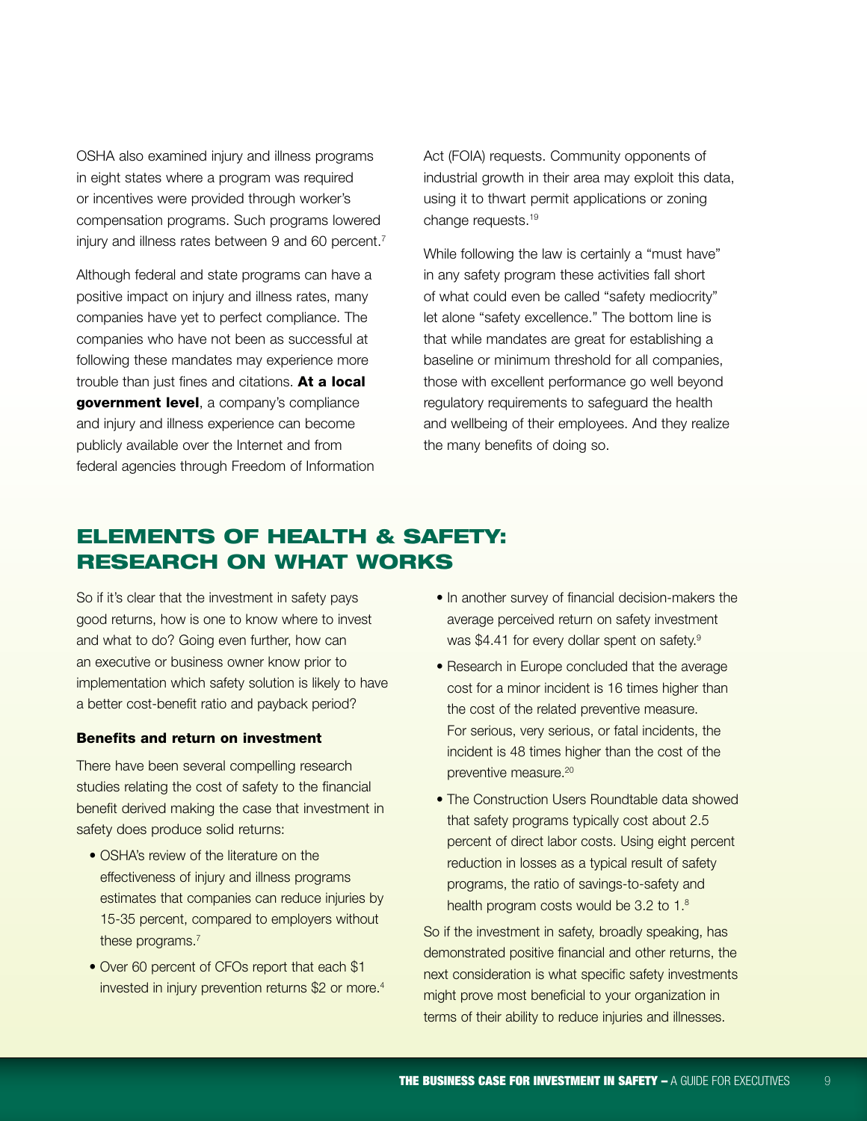OSHA also examined injury and illness programs in eight states where a program was required or incentives were provided through worker's compensation programs. Such programs lowered injury and illness rates between 9 and 60 percent.<sup>7</sup>

Although federal and state programs can have a positive impact on injury and illness rates, many companies have yet to perfect compliance. The companies who have not been as successful at following these mandates may experience more trouble than just fines and citations. At a local government level, a company's compliance and injury and illness experience can become publicly available over the Internet and from federal agencies through Freedom of Information Act (FOIA) requests. Community opponents of industrial growth in their area may exploit this data, using it to thwart permit applications or zoning change requests.<sup>19</sup>

While following the law is certainly a "must have" in any safety program these activities fall short of what could even be called "safety mediocrity" let alone "safety excellence." The bottom line is that while mandates are great for establishing a baseline or minimum threshold for all companies, those with excellent performance go well beyond regulatory requirements to safeguard the health and wellbeing of their employees. And they realize the many benefits of doing so.

# Elements of Health & Safety: Research on What Works

So if it's clear that the investment in safety pays good returns, how is one to know where to invest and what to do? Going even further, how can an executive or business owner know prior to implementation which safety solution is likely to have a better cost-benefit ratio and payback period?

## Benefits and return on investment

There have been several compelling research studies relating the cost of safety to the financial benefit derived making the case that investment in safety does produce solid returns:

- OSHA's review of the literature on the effectiveness of injury and illness programs estimates that companies can reduce injuries by 15-35 percent, compared to employers without these programs.<sup>7</sup>
- Over 60 percent of CFOs report that each \$1 invested in injury prevention returns \$2 or more.<sup>4</sup>
- In another survey of financial decision-makers the average perceived return on safety investment was \$4.41 for every dollar spent on safety.<sup>9</sup>
- Research in Europe concluded that the average cost for a minor incident is 16 times higher than the cost of the related preventive measure. For serious, very serious, or fatal incidents, the incident is 48 times higher than the cost of the preventive measure.20
- The Construction Users Roundtable data showed that safety programs typically cost about 2.5 percent of direct labor costs. Using eight percent reduction in losses as a typical result of safety programs, the ratio of savings-to-safety and health program costs would be 3.2 to 1.8

So if the investment in safety, broadly speaking, has demonstrated positive financial and other returns, the next consideration is what specific safety investments might prove most beneficial to your organization in terms of their ability to reduce injuries and illnesses.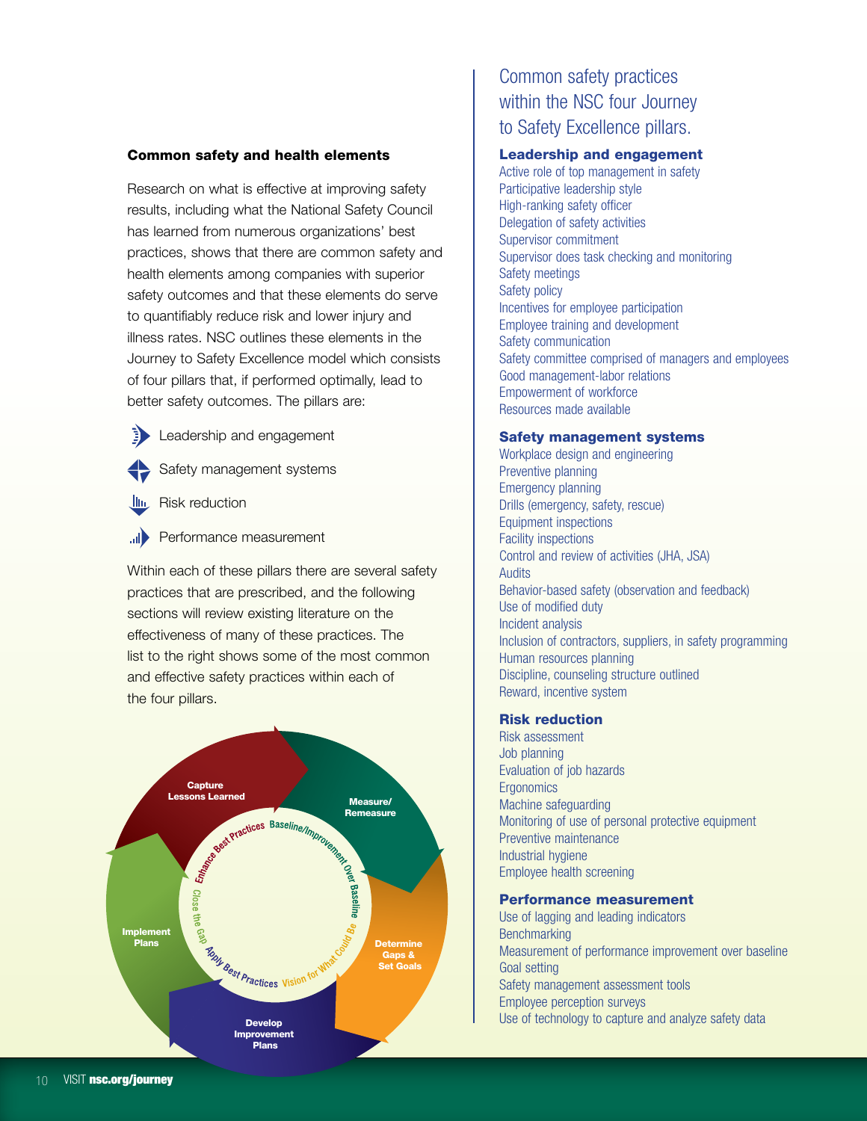## Common safety and health elements

Research on what is effective at improving safety results, including what the National Safety Council has learned from numerous organizations' best practices, shows that there are common safety and health elements among companies with superior safety outcomes and that these elements do serve to quantifiably reduce risk and lower injury and illness rates. NSC outlines these elements in the Journey to Safety Excellence model which consists of four pillars that, if performed optimally, lead to better safety outcomes. The pillars are:

- **E** Leadership and engagement
- Safety management systems
- **IIII** Risk reduction
- **III** Performance measurement

Within each of these pillars there are several safety practices that are prescribed, and the following sections will review existing literature on the effectiveness of many of these practices. The list to the right shows some of the most common and effective safety practices within each of the four pillars.



# Common safety practices within the NSC four Journey to Safety Excellence pillars.

#### Leadership and engagement

Active role of top management in safety Participative leadership style High-ranking safety officer Delegation of safety activities Supervisor commitment Supervisor does task checking and monitoring Safety meetings Safety policy Incentives for employee participation Employee training and development Safety communication Safety committee comprised of managers and employees Good management-labor relations Empowerment of workforce Resources made available

#### Safety management systems

Workplace design and engineering Preventive planning Emergency planning Drills (emergency, safety, rescue) Equipment inspections Facility inspections Control and review of activities (JHA, JSA) **Audits** Behavior-based safety (observation and feedback) Use of modified duty Incident analysis Inclusion of contractors, suppliers, in safety programming Human resources planning Discipline, counseling structure outlined Reward, incentive system

## Risk reduction

Risk assessment Job planning Evaluation of job hazards **Ergonomics** Machine safeguarding Monitoring of use of personal protective equipment Preventive maintenance Industrial hygiene Employee health screening

#### Performance measurement

Use of lagging and leading indicators **Benchmarking** Measurement of performance improvement over baseline Goal setting Safety management assessment tools Employee perception surveys Use of technology to capture and analyze safety data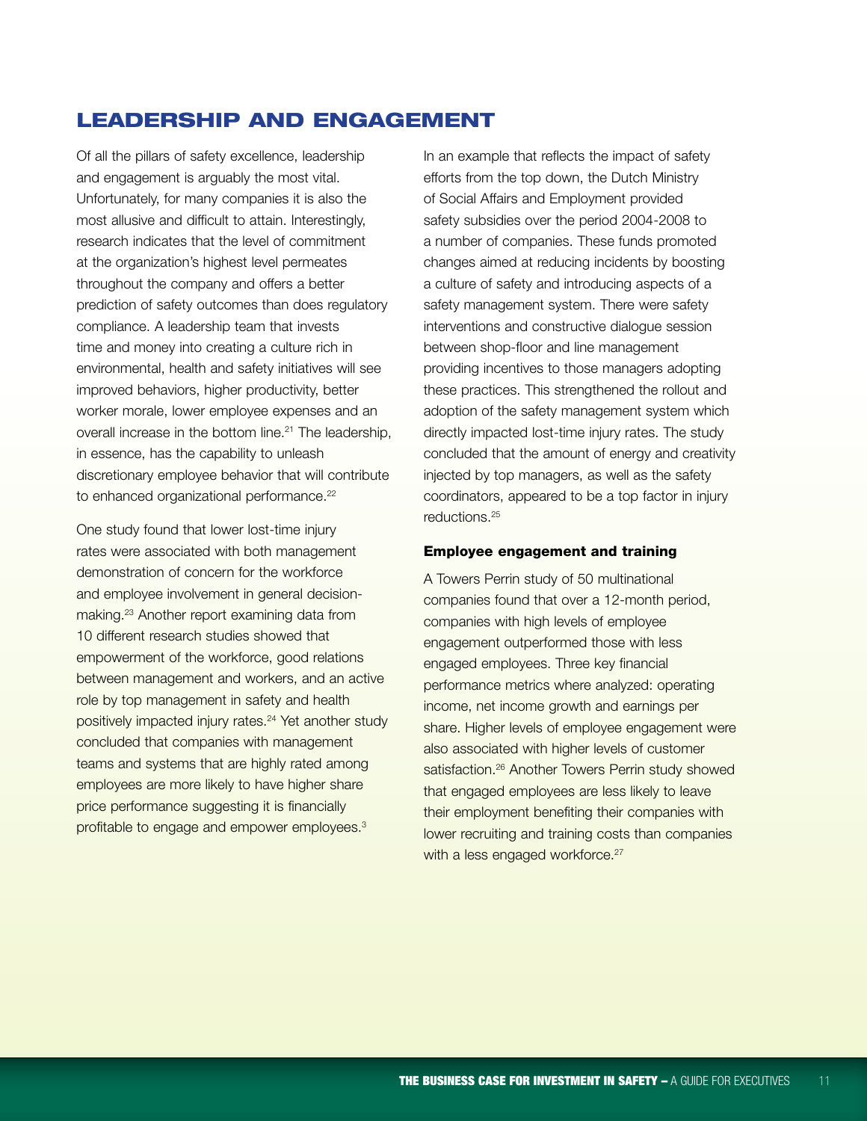# Leadership and engagement

Of all the pillars of safety excellence, leadership and engagement is arguably the most vital. Unfortunately, for many companies it is also the most allusive and difficult to attain. Interestingly, research indicates that the level of commitment at the organization's highest level permeates throughout the company and offers a better prediction of safety outcomes than does regulatory compliance. A leadership team that invests time and money into creating a culture rich in environmental, health and safety initiatives will see improved behaviors, higher productivity, better worker morale, lower employee expenses and an overall increase in the bottom line.<sup>21</sup> The leadership, in essence, has the capability to unleash discretionary employee behavior that will contribute to enhanced organizational performance.<sup>22</sup>

One study found that lower lost-time injury rates were associated with both management demonstration of concern for the workforce and employee involvement in general decisionmaking.23 Another report examining data from 10 different research studies showed that empowerment of the workforce, good relations between management and workers, and an active role by top management in safety and health positively impacted injury rates.<sup>24</sup> Yet another study concluded that companies with management teams and systems that are highly rated among employees are more likely to have higher share price performance suggesting it is financially profitable to engage and empower employees.<sup>3</sup>

In an example that reflects the impact of safety efforts from the top down, the Dutch Ministry of Social Affairs and Employment provided safety subsidies over the period 2004-2008 to a number of companies. These funds promoted changes aimed at reducing incidents by boosting a culture of safety and introducing aspects of a safety management system. There were safety interventions and constructive dialogue session between shop-floor and line management providing incentives to those managers adopting these practices. This strengthened the rollout and adoption of the safety management system which directly impacted lost-time injury rates. The study concluded that the amount of energy and creativity injected by top managers, as well as the safety coordinators, appeared to be a top factor in injury reductions.25

#### Employee engagement and training

A Towers Perrin study of 50 multinational companies found that over a 12-month period, companies with high levels of employee engagement outperformed those with less engaged employees. Three key financial performance metrics where analyzed: operating income, net income growth and earnings per share. Higher levels of employee engagement were also associated with higher levels of customer satisfaction.<sup>26</sup> Another Towers Perrin study showed that engaged employees are less likely to leave their employment benefiting their companies with lower recruiting and training costs than companies with a less engaged workforce.<sup>27</sup>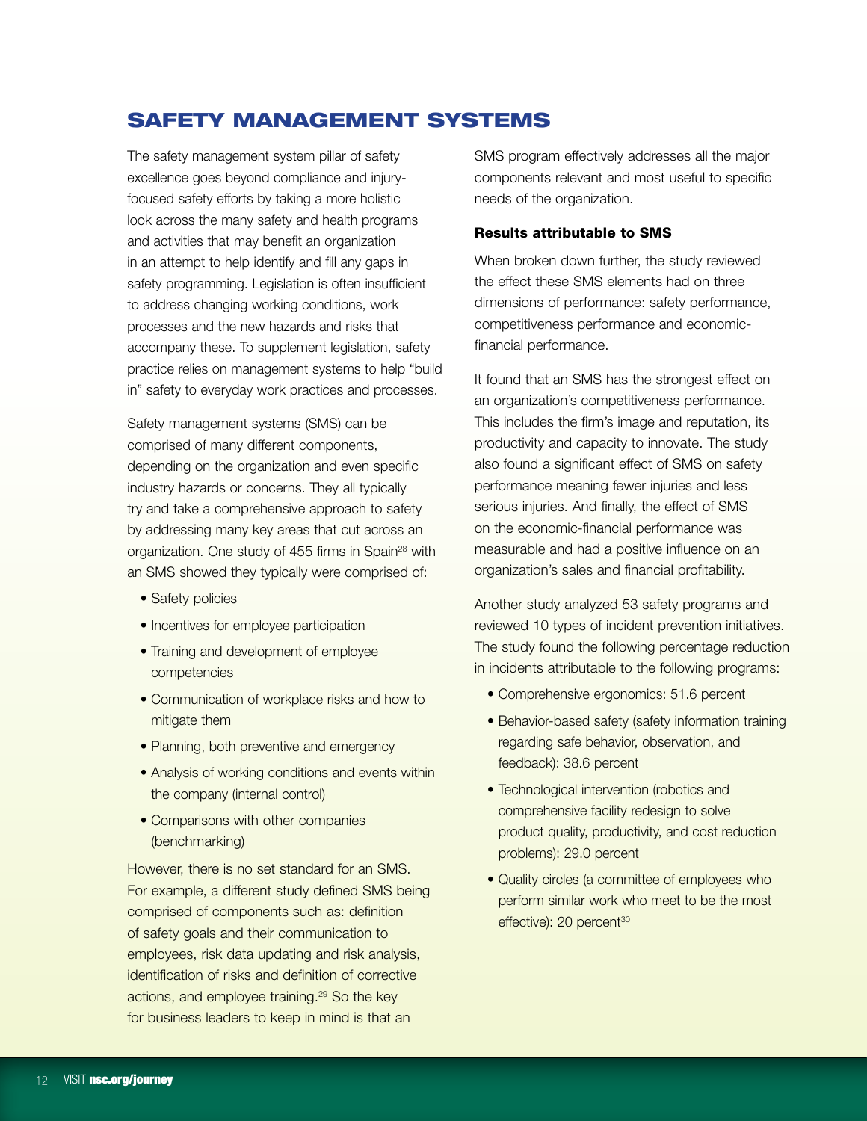# Safety management systems

The safety management system pillar of safety excellence goes beyond compliance and injuryfocused safety efforts by taking a more holistic look across the many safety and health programs and activities that may benefit an organization in an attempt to help identify and fill any gaps in safety programming. Legislation is often insufficient to address changing working conditions, work processes and the new hazards and risks that accompany these. To supplement legislation, safety practice relies on management systems to help "build in" safety to everyday work practices and processes.

Safety management systems (SMS) can be comprised of many different components, depending on the organization and even specific industry hazards or concerns. They all typically try and take a comprehensive approach to safety by addressing many key areas that cut across an organization. One study of 455 firms in Spain<sup>28</sup> with an SMS showed they typically were comprised of:

- Safety policies
- Incentives for employee participation
- Training and development of employee competencies
- Communication of workplace risks and how to mitigate them
- Planning, both preventive and emergency
- Analysis of working conditions and events within the company (internal control)
- Comparisons with other companies (benchmarking)

However, there is no set standard for an SMS. For example, a different study defined SMS being comprised of components such as: definition of safety goals and their communication to employees, risk data updating and risk analysis, identification of risks and definition of corrective actions, and employee training.<sup>29</sup> So the key for business leaders to keep in mind is that an

SMS program effectively addresses all the major components relevant and most useful to specific needs of the organization.

# Results attributable to SMS

When broken down further, the study reviewed the effect these SMS elements had on three dimensions of performance: safety performance, competitiveness performance and economicfinancial performance.

It found that an SMS has the strongest effect on an organization's competitiveness performance. This includes the firm's image and reputation, its productivity and capacity to innovate. The study also found a significant effect of SMS on safety performance meaning fewer injuries and less serious injuries. And finally, the effect of SMS on the economic-financial performance was measurable and had a positive influence on an organization's sales and financial profitability.

Another study analyzed 53 safety programs and reviewed 10 types of incident prevention initiatives. The study found the following percentage reduction in incidents attributable to the following programs:

- Comprehensive ergonomics: 51.6 percent
- Behavior-based safety (safety information training regarding safe behavior, observation, and feedback): 38.6 percent
- Technological intervention (robotics and comprehensive facility redesign to solve product quality, productivity, and cost reduction problems): 29.0 percent
- Quality circles (a committee of employees who perform similar work who meet to be the most effective): 20 percent<sup>30</sup>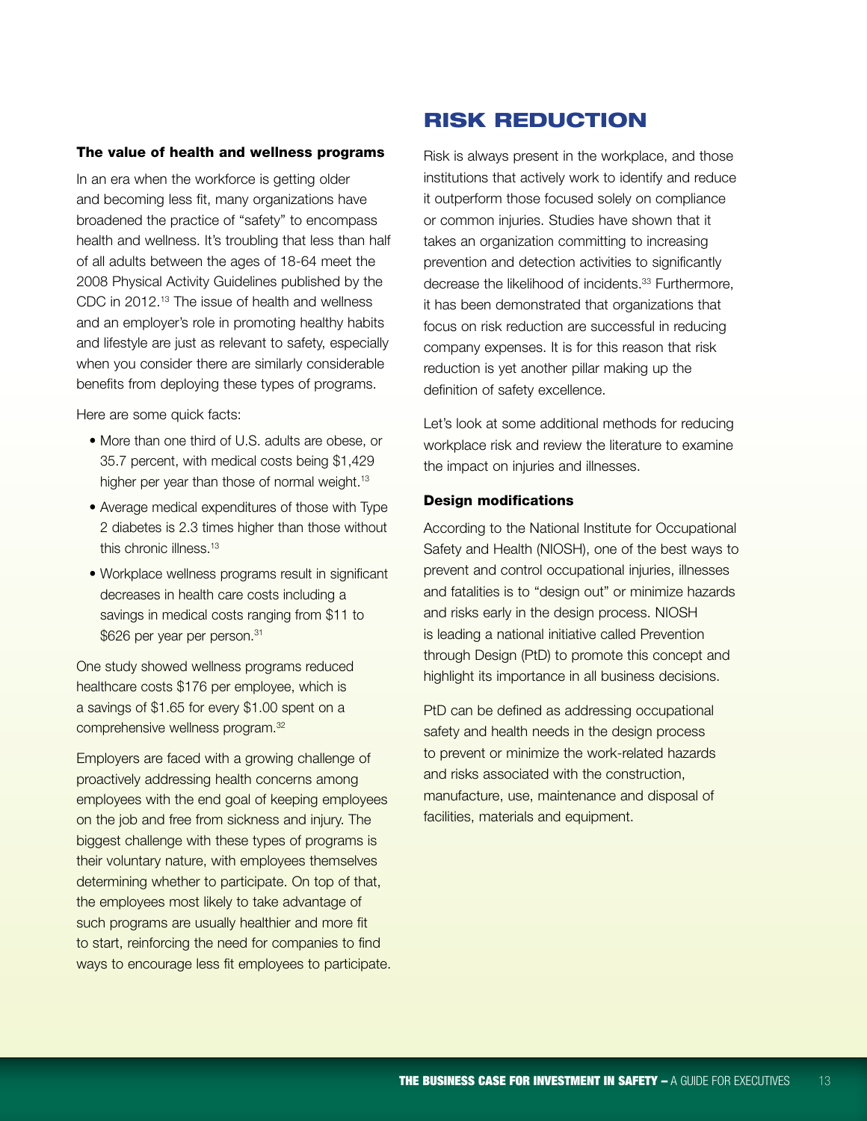#### The value of health and wellness programs

In an era when the workforce is getting older and becoming less fit, many organizations have broadened the practice of "safety" to encompass health and wellness. It's troubling that less than half of all adults between the ages of 18-64 meet the 2008 Physical Activity Guidelines published by the CDC in 2012.13 The issue of health and wellness and an employer's role in promoting healthy habits and lifestyle are just as relevant to safety, especially when you consider there are similarly considerable benefits from deploying these types of programs.

Here are some quick facts:

- More than one third of U.S. adults are obese, or 35.7 percent, with medical costs being \$1,429 higher per year than those of normal weight.<sup>13</sup>
- Average medical expenditures of those with Type 2 diabetes is 2.3 times higher than those without this chronic illness.13
- Workplace wellness programs result in significant decreases in health care costs including a savings in medical costs ranging from \$11 to \$626 per year per person.<sup>31</sup>

One study showed wellness programs reduced healthcare costs \$176 per employee, which is a savings of \$1.65 for every \$1.00 spent on a comprehensive wellness program.32

Employers are faced with a growing challenge of proactively addressing health concerns among employees with the end goal of keeping employees on the job and free from sickness and injury. The biggest challenge with these types of programs is their voluntary nature, with employees themselves determining whether to participate. On top of that, the employees most likely to take advantage of such programs are usually healthier and more fit to start, reinforcing the need for companies to find ways to encourage less fit employees to participate.

# Risk reduction

Risk is always present in the workplace, and those institutions that actively work to identify and reduce it outperform those focused solely on compliance or common injuries. Studies have shown that it takes an organization committing to increasing prevention and detection activities to significantly decrease the likelihood of incidents.<sup>33</sup> Furthermore, it has been demonstrated that organizations that focus on risk reduction are successful in reducing company expenses. It is for this reason that risk reduction is yet another pillar making up the definition of safety excellence.

Let's look at some additional methods for reducing workplace risk and review the literature to examine the impact on injuries and illnesses.

## Design modifications

According to the National Institute for Occupational Safety and Health (NIOSH), one of the best ways to prevent and control occupational injuries, illnesses and fatalities is to "design out" or minimize hazards and risks early in the design process. NIOSH is leading a national initiative called Prevention through Design (PtD) to promote this concept and highlight its importance in all business decisions.

PtD can be defined as addressing occupational safety and health needs in the design process to prevent or minimize the work-related hazards and risks associated with the construction, manufacture, use, maintenance and disposal of facilities, materials and equipment.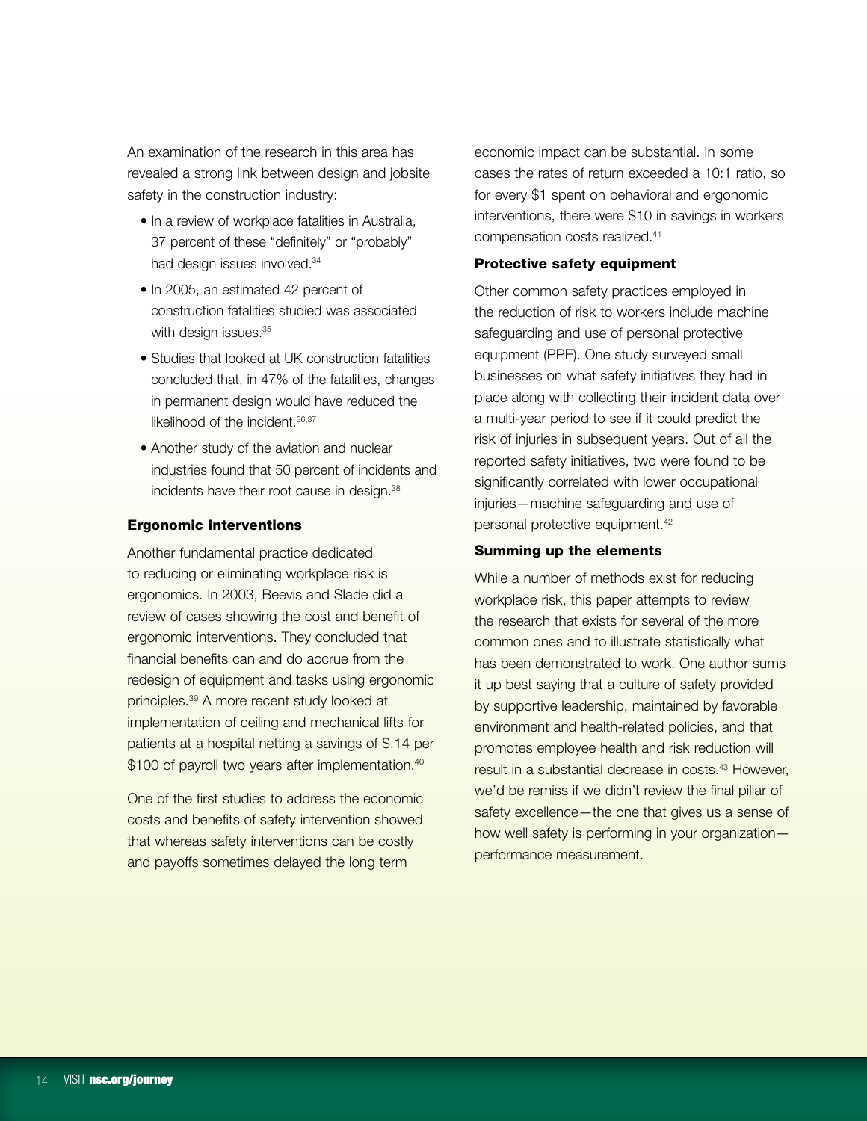An examination of the research in this area has revealed a strong link between design and jobsite safety in the construction industry:

- In a review of workplace fatalities in Australia, 37 percent of these "definitely" or "probably" had design issues involved.<sup>34</sup>
- In 2005, an estimated 42 percent of construction fatalities studied was associated with design issues.<sup>35</sup>
- Studies that looked at UK construction fatalities concluded that, in 47% of the fatalities, changes in permanent design would have reduced the likelihood of the incident. 36,37
- Another study of the aviation and nuclear industries found that 50 percent of incidents and incidents have their root cause in design.38

# Ergonomic interventions

Another fundamental practice dedicated to reducing or eliminating workplace risk is ergonomics. In 2003, Beevis and Slade did a review of cases showing the cost and benefit of ergonomic interventions. They concluded that financial benefits can and do accrue from the redesign of equipment and tasks using ergonomic principles.39 A more recent study looked at implementation of ceiling and mechanical lifts for patients at a hospital netting a savings of \$.14 per \$100 of payroll two years after implementation.<sup>40</sup>

One of the first studies to address the economic costs and benefits of safety intervention showed that whereas safety interventions can be costly and payoffs sometimes delayed the long term

economic impact can be substantial. In some cases the rates of return exceeded a 10:1 ratio, so for every \$1 spent on behavioral and ergonomic interventions, there were \$10 in savings in workers compensation costs realized.41

# Protective safety equipment

Other common safety practices employed in the reduction of risk to workers include machine safeguarding and use of personal protective equipment (PPE). One study surveyed small businesses on what safety initiatives they had in place along with collecting their incident data over a multi-year period to see if it could predict the risk of injuries in subsequent years. Out of all the reported safety initiatives, two were found to be significantly correlated with lower occupational injuries—machine safeguarding and use of personal protective equipment.42

#### Summing up the elements

While a number of methods exist for reducing workplace risk, this paper attempts to review the research that exists for several of the more common ones and to illustrate statistically what has been demonstrated to work. One author sums it up best saying that a culture of safety provided by supportive leadership, maintained by favorable environment and health-related policies, and that promotes employee health and risk reduction will result in a substantial decrease in costs.<sup>43</sup> However, we'd be remiss if we didn't review the final pillar of safety excellence—the one that gives us a sense of how well safety is performing in your organization performance measurement.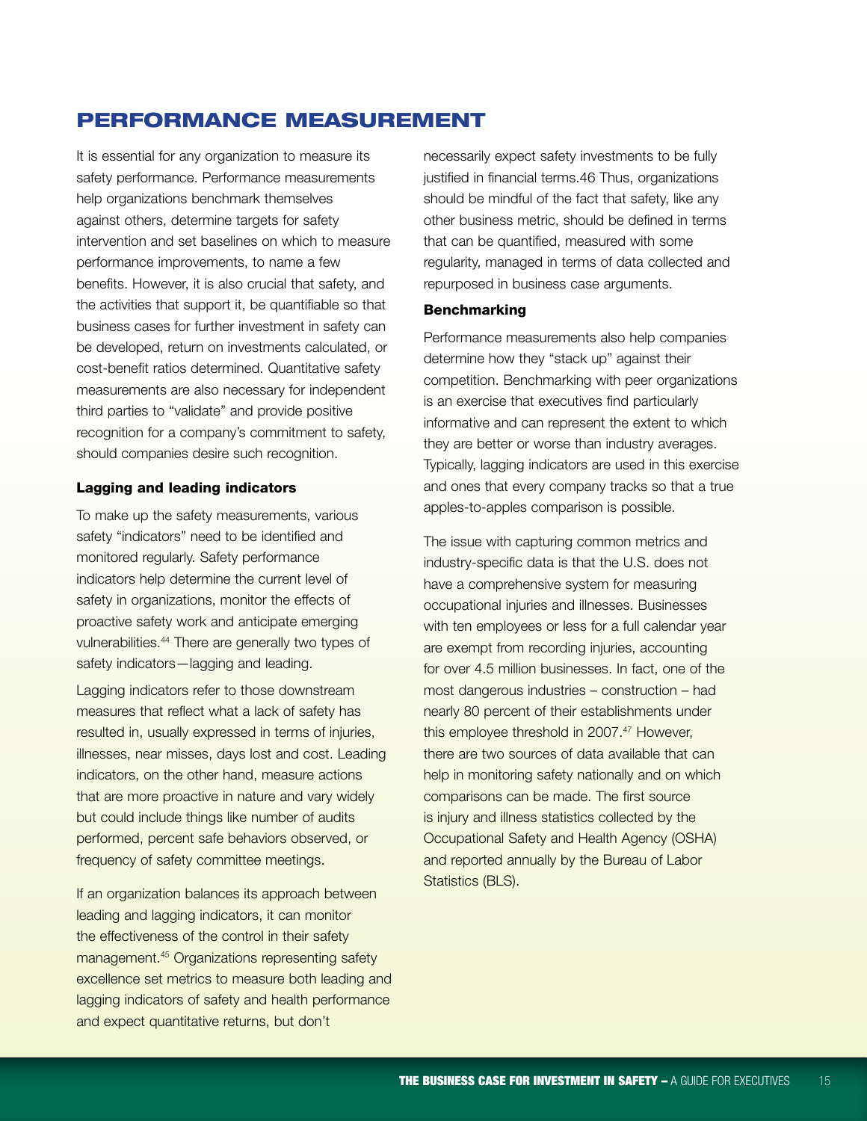# Performance Measurement

It is essential for any organization to measure its safety performance. Performance measurements help organizations benchmark themselves against others, determine targets for safety intervention and set baselines on which to measure performance improvements, to name a few benefits. However, it is also crucial that safety, and the activities that support it, be quantifiable so that business cases for further investment in safety can be developed, return on investments calculated, or cost-benefit ratios determined. Quantitative safety measurements are also necessary for independent third parties to "validate" and provide positive recognition for a company's commitment to safety, should companies desire such recognition.

#### Lagging and leading indicators

To make up the safety measurements, various safety "indicators" need to be identified and monitored regularly. Safety performance indicators help determine the current level of safety in organizations, monitor the effects of proactive safety work and anticipate emerging vulnerabilities.44 There are generally two types of safety indicators—lagging and leading.

Lagging indicators refer to those downstream measures that reflect what a lack of safety has resulted in, usually expressed in terms of injuries, illnesses, near misses, days lost and cost. Leading indicators, on the other hand, measure actions that are more proactive in nature and vary widely but could include things like number of audits performed, percent safe behaviors observed, or frequency of safety committee meetings.

If an organization balances its approach between leading and lagging indicators, it can monitor the effectiveness of the control in their safety management.45 Organizations representing safety excellence set metrics to measure both leading and lagging indicators of safety and health performance and expect quantitative returns, but don't

necessarily expect safety investments to be fully justified in financial terms.46 Thus, organizations should be mindful of the fact that safety, like any other business metric, should be defined in terms that can be quantified, measured with some regularity, managed in terms of data collected and repurposed in business case arguments.

# **Benchmarking**

Performance measurements also help companies determine how they "stack up" against their competition. Benchmarking with peer organizations is an exercise that executives find particularly informative and can represent the extent to which they are better or worse than industry averages. Typically, lagging indicators are used in this exercise and ones that every company tracks so that a true apples-to-apples comparison is possible.

The issue with capturing common metrics and industry-specific data is that the U.S. does not have a comprehensive system for measuring occupational injuries and illnesses. Businesses with ten employees or less for a full calendar year are exempt from recording injuries, accounting for over 4.5 million businesses. In fact, one of the most dangerous industries – construction – had nearly 80 percent of their establishments under this employee threshold in 2007.<sup>47</sup> However, there are two sources of data available that can help in monitoring safety nationally and on which comparisons can be made. The first source is injury and illness statistics collected by the Occupational Safety and Health Agency (OSHA) and reported annually by the Bureau of Labor Statistics (BLS).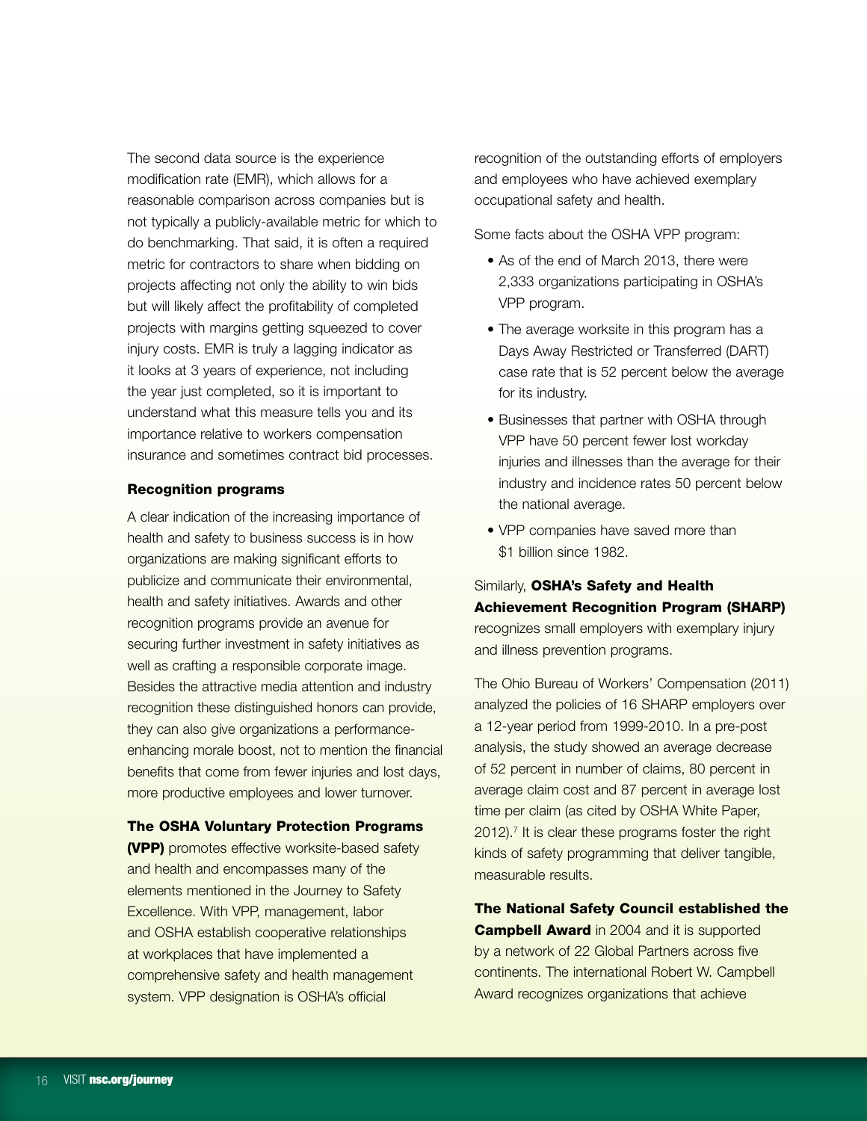The second data source is the experience modification rate (EMR), which allows for a reasonable comparison across companies but is not typically a publicly-available metric for which to do benchmarking. That said, it is often a required metric for contractors to share when bidding on projects affecting not only the ability to win bids but will likely affect the profitability of completed projects with margins getting squeezed to cover injury costs. EMR is truly a lagging indicator as it looks at 3 years of experience, not including the year just completed, so it is important to understand what this measure tells you and its importance relative to workers compensation insurance and sometimes contract bid processes.

## Recognition programs

A clear indication of the increasing importance of health and safety to business success is in how organizations are making significant efforts to publicize and communicate their environmental, health and safety initiatives. Awards and other recognition programs provide an avenue for securing further investment in safety initiatives as well as crafting a responsible corporate image. Besides the attractive media attention and industry recognition these distinguished honors can provide, they can also give organizations a performanceenhancing morale boost, not to mention the financial benefits that come from fewer injuries and lost days, more productive employees and lower turnover.

#### The OSHA Voluntary Protection Programs

(VPP) promotes effective worksite-based safety and health and encompasses many of the elements mentioned in the Journey to Safety Excellence. With VPP, management, labor and OSHA establish cooperative relationships at workplaces that have implemented a comprehensive safety and health management system. VPP designation is OSHA's official

recognition of the outstanding efforts of employers and employees who have achieved exemplary occupational safety and health.

Some facts about the OSHA VPP program:

- As of the end of March 2013, there were 2,333 organizations participating in OSHA's VPP program.
- The average worksite in this program has a Days Away Restricted or Transferred (DART) case rate that is 52 percent below the average for its industry.
- Businesses that partner with OSHA through VPP have 50 percent fewer lost workday injuries and illnesses than the average for their industry and incidence rates 50 percent below the national average.
- VPP companies have saved more than \$1 billion since 1982.

# Similarly, OSHA's Safety and Health Achievement Recognition Program (SHARP)

recognizes small employers with exemplary injury and illness prevention programs.

The Ohio Bureau of Workers' Compensation (2011) analyzed the policies of 16 SHARP employers over a 12-year period from 1999-2010. In a pre-post analysis, the study showed an average decrease of 52 percent in number of claims, 80 percent in average claim cost and 87 percent in average lost time per claim (as cited by OSHA White Paper,  $2012$ ).<sup>7</sup> It is clear these programs foster the right kinds of safety programming that deliver tangible, measurable results.

The National Safety Council established the **Campbell Award** in 2004 and it is supported by a network of 22 Global Partners across five continents. The international Robert W. Campbell Award recognizes organizations that achieve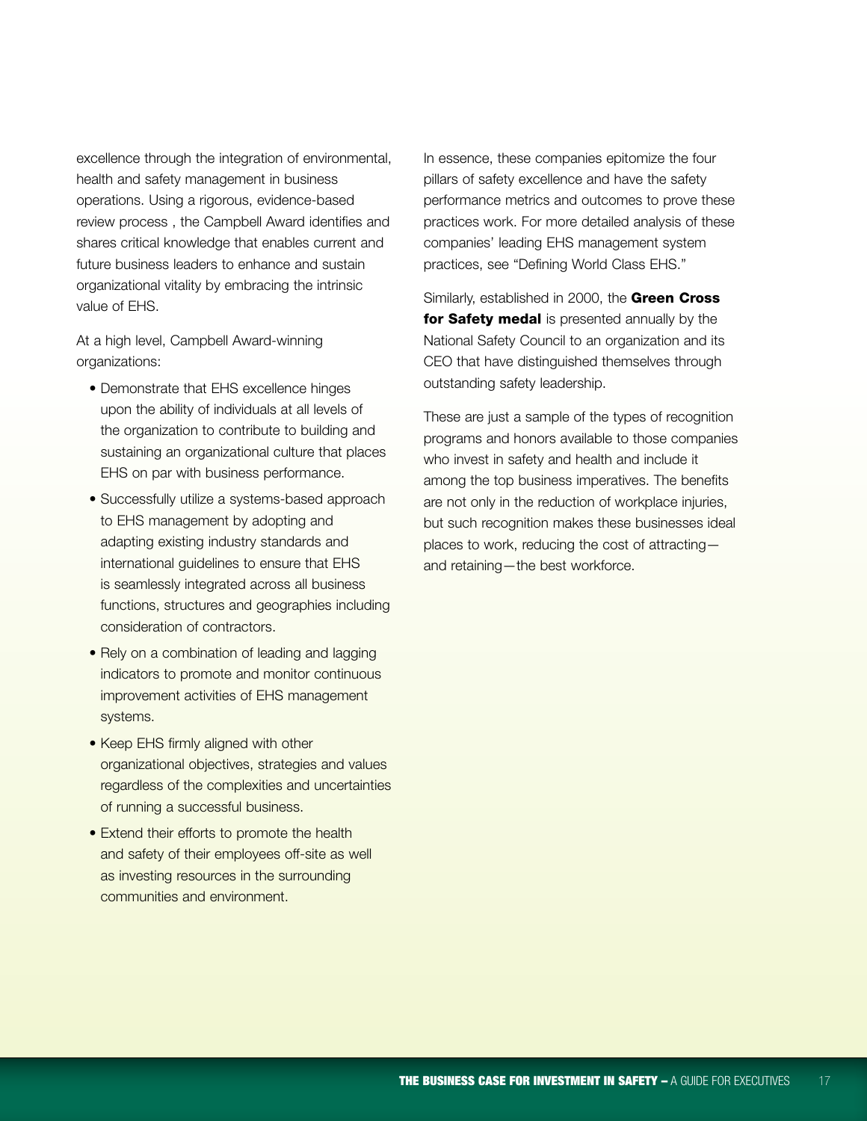excellence through the integration of environmental, health and safety management in business operations. Using a rigorous, evidence-based review process , the Campbell Award identifies and shares critical knowledge that enables current and future business leaders to enhance and sustain organizational vitality by embracing the intrinsic value of EHS.

At a high level, Campbell Award-winning organizations:

- Demonstrate that EHS excellence hinges upon the ability of individuals at all levels of the organization to contribute to building and sustaining an organizational culture that places EHS on par with business performance.
- Successfully utilize a systems-based approach to EHS management by adopting and adapting existing industry standards and international guidelines to ensure that EHS is seamlessly integrated across all business functions, structures and geographies including consideration of contractors.
- Rely on a combination of leading and lagging indicators to promote and monitor continuous improvement activities of EHS management systems.
- Keep EHS firmly aligned with other organizational objectives, strategies and values regardless of the complexities and uncertainties of running a successful business.
- Extend their efforts to promote the health and safety of their employees off-site as well as investing resources in the surrounding communities and environment.

In essence, these companies epitomize the four pillars of safety excellence and have the safety performance metrics and outcomes to prove these practices work. For more detailed analysis of these companies' leading EHS management system practices, see "Defining World Class EHS."

Similarly, established in 2000, the Green Cross for Safety medal is presented annually by the National Safety Council to an organization and its CEO that have distinguished themselves through outstanding safety leadership.

These are just a sample of the types of recognition programs and honors available to those companies who invest in safety and health and include it among the top business imperatives. The benefits are not only in the reduction of workplace injuries, but such recognition makes these businesses ideal places to work, reducing the cost of attracting and retaining—the best workforce.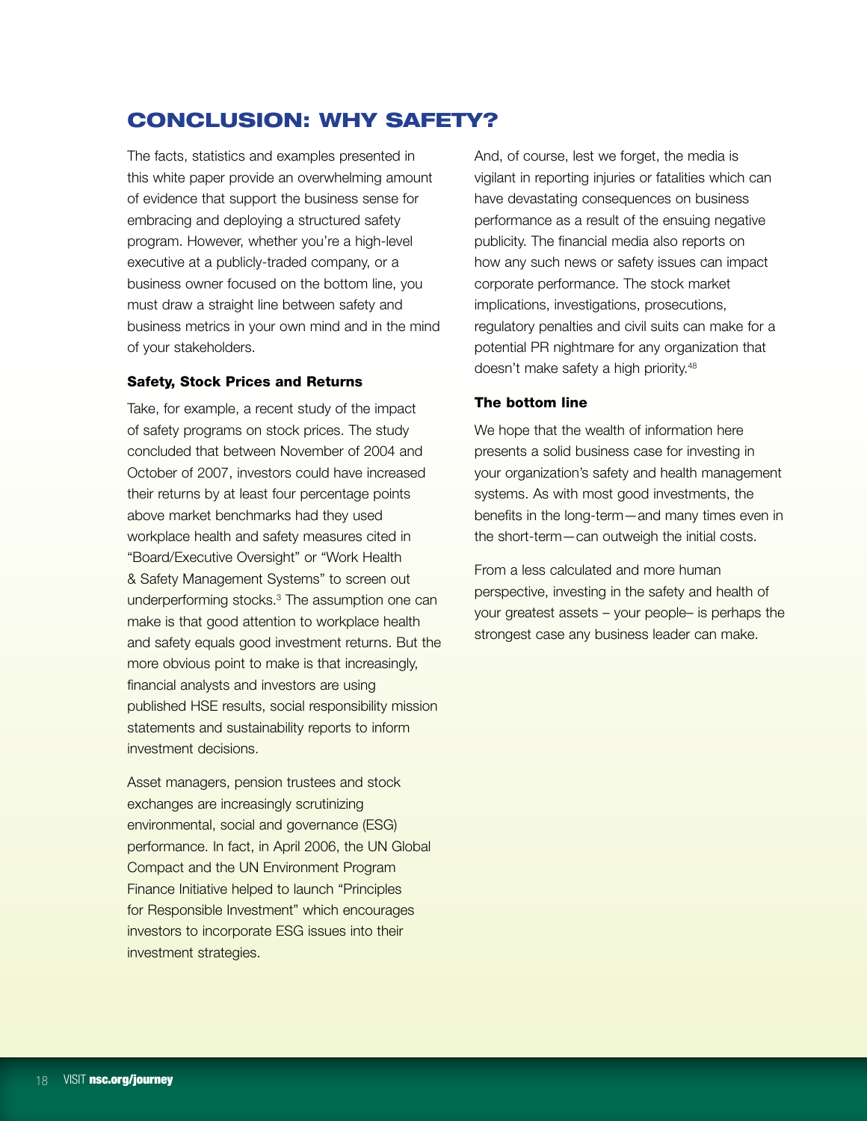# Conclusion: Why Safety?

The facts, statistics and examples presented in this white paper provide an overwhelming amount of evidence that support the business sense for embracing and deploying a structured safety program. However, whether you're a high-level executive at a publicly-traded company, or a business owner focused on the bottom line, you must draw a straight line between safety and business metrics in your own mind and in the mind of your stakeholders.

## Safety, Stock Prices and Returns

Take, for example, a recent study of the impact of safety programs on stock prices. The study concluded that between November of 2004 and October of 2007, investors could have increased their returns by at least four percentage points above market benchmarks had they used workplace health and safety measures cited in "Board/Executive Oversight" or "Work Health & Safety Management Systems" to screen out underperforming stocks.3 The assumption one can make is that good attention to workplace health and safety equals good investment returns. But the more obvious point to make is that increasingly, financial analysts and investors are using published HSE results, social responsibility mission statements and sustainability reports to inform investment decisions.

Asset managers, pension trustees and stock exchanges are increasingly scrutinizing environmental, social and governance (ESG) performance. In fact, in April 2006, the UN Global Compact and the UN Environment Program Finance Initiative helped to launch "Principles for Responsible Investment" which encourages investors to incorporate ESG issues into their investment strategies.

And, of course, lest we forget, the media is vigilant in reporting injuries or fatalities which can have devastating consequences on business performance as a result of the ensuing negative publicity. The financial media also reports on how any such news or safety issues can impact corporate performance. The stock market implications, investigations, prosecutions, regulatory penalties and civil suits can make for a potential PR nightmare for any organization that doesn't make safety a high priority.48

#### The bottom line

We hope that the wealth of information here presents a solid business case for investing in your organization's safety and health management systems. As with most good investments, the benefits in the long-term—and many times even in the short-term—can outweigh the initial costs.

From a less calculated and more human perspective, investing in the safety and health of your greatest assets – your people– is perhaps the strongest case any business leader can make.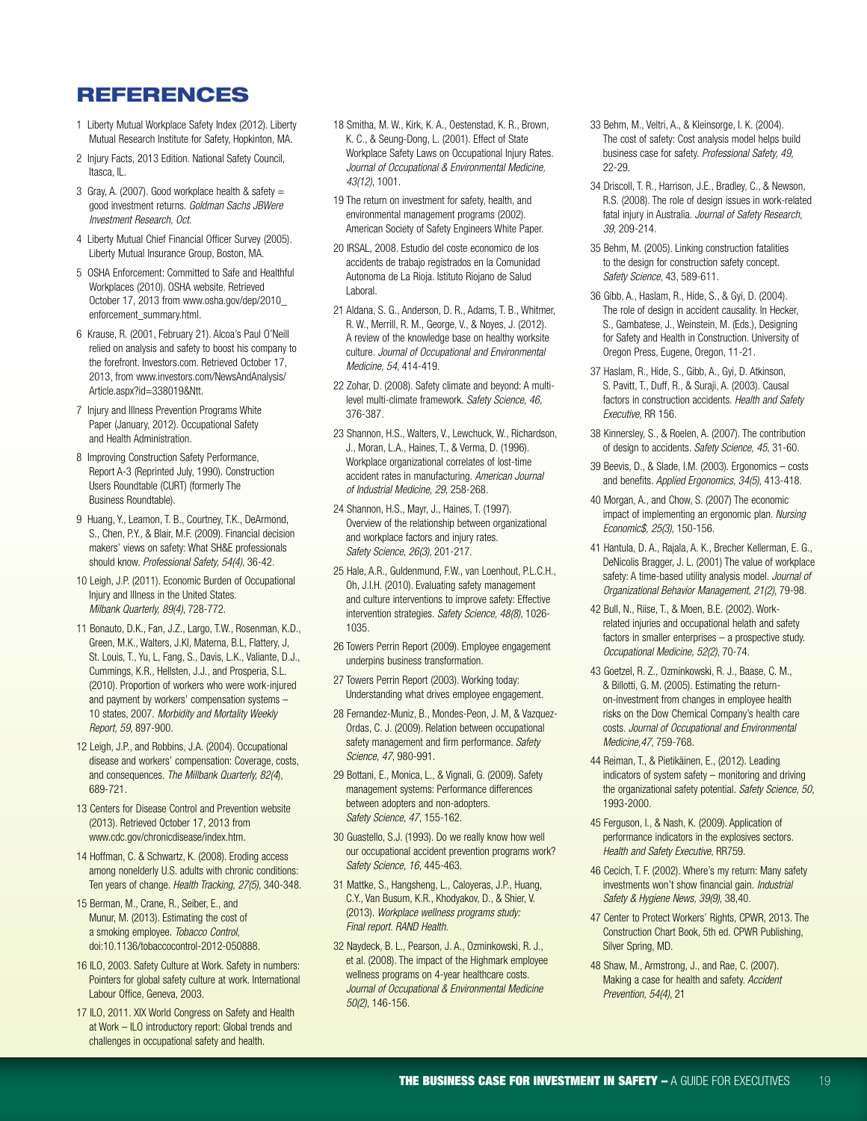# **REFERENCES**

- 1 Liberty Mutual Workplace Safety Index (2012). Liberty Mutual Research Institute for Safety, Hopkinton, MA.
- 2 Injury Facts, 2013 Edition. National Safety Council, Itasca, IL.
- 3 Gray, A. (2007). Good workplace health  $\&$  safety  $=$ good investment returns. *Goldman Sachs JBWere Investment Research, Oct.*
- 4 Liberty Mutual Chief Financial Officer Survey (2005). Liberty Mutual Insurance Group, Boston, MA.
- 5 OSHA Enforcement: Committed to Safe and Healthful Workplaces (2010). OSHA website. Retrieved October 17, 2013 from www.osha.gov/dep/2010\_ enforcement\_summary.html.
- 6 Krause, R. (2001, February 21). Alcoa's Paul O'Neill relied on analysis and safety to boost his company to the forefront. Investors.com. Retrieved October 17, 2013, from www.investors.com/NewsAndAnalysis/ Article.aspx?id=338019&Ntt.
- 7 Injury and Illness Prevention Programs White Paper (January, 2012). Occupational Safety and Health Administration.
- 8 Improving Construction Safety Performance, Report A-3 (Reprinted July, 1990). Construction Users Roundtable (CURT) (formerly The Business Roundtable).
- 9 Huang, Y., Leamon, T. B., Courtney, T.K., DeArmond, S., Chen, P.Y., & Blair, M.F. (2009). Financial decision makers' views on safety: What SH&E professionals should know. *Professional Safety, 54(4)*, 36-42.
- 10 Leigh, J.P. (2011). Economic Burden of Occupational Injury and Illness in the United States. *Milbank Quarterly, 89(4)*, 728-772.
- 11 Bonauto, D.K., Fan, J.Z., Largo, T.W., Rosenman, K.D., Green, M.K., Walters, J.Kl, Materna, B.L, Flattery, J, St. Louis, T., Yu, L, Fang, S., Davis, L.K., Valiante, D.J., Cummings, K.R., Hellsten, J.J., and Prosperia, S.L. (2010). Proportion of workers who were work-injured and payment by workers' compensation systems – 10 states, 2007. *Morbidity and Mortality Weekly Report, 59*, 897-900.
- 12 Leigh, J.P., and Robbins, J.A. (2004). Occupational disease and workers' compensation: Coverage, costs, and consequences. *The Millbank Quarterly, 82(4*), 689-721.
- 13 Centers for Disease Control and Prevention website (2013). Retrieved October 17, 2013 from www.cdc.gov/chronicdisease/index.htm.
- 14 Hoffman, C. & Schwartz, K. (2008). Eroding access among nonelderly U.S. adults with chronic conditions: Ten years of change. *Health Tracking, 27(5)*, 340-348.
- 15 Berman, M., Crane, R., Seiber, E., and Munur, M. (2013). Estimating the cost of a smoking employee. *Tobacco Control*, doi:10.1136/tobaccocontrol-2012-050888.
- 16 ILO, 2003. Safety Culture at Work. Safety in numbers: Pointers for global safety culture at work. International Labour Office, Geneva, 2003.
- 17 ILO, 2011. XIX World Congress on Safety and Health at Work – ILO introductory report: Global trends and challenges in occupational safety and health.
- 18 Smitha, M. W., Kirk, K. A., Oestenstad, K. R., Brown, K. C., & Seung-Dong, L. (2001). Effect of State Workplace Safety Laws on Occupational Injury Rates. *Journal of Occupational & Environmental Medicine, 43(12)*, 1001.
- 19 The return on investment for safety, health, and environmental management programs (2002). American Society of Safety Engineers White Paper.
- 20 IRSAL, 2008. Estudio del coste economico de los accidents de trabajo registrados en la Comunidad Autonoma de La Rioja. Istituto Riojano de Salud Laboral.
- 21 Aldana, S. G., Anderson, D. R., Adams, T. B., Whitmer, R. W., Merrill, R. M., George, V., & Noyes, J. (2012). A review of the knowledge base on healthy worksite culture. *Journal of Occupational and Environmental Medicine, 54*, 414-419.
- 22 Zohar, D. (2008). Safety climate and beyond: A multilevel multi-climate framework. *Safety Science, 46*, 376-387.
- 23 Shannon, H.S., Walters, V., Lewchuck, W., Richardson, J., Moran, L.A., Haines, T., & Verma, D. (1996). Workplace organizational correlates of lost-time accident rates in manufacturing. *American Journal of Industrial Medicine, 29*, 258-268.
- 24 Shannon, H.S., Mayr, J., Haines, T. (1997). Overview of the relationship between organizational and workplace factors and injury rates. *Safety Science, 26(3)*, 201-217.
- 25 Hale, A.R., Guldenmund, F.W., van Loenhout, P.L.C.H., Oh, J.I.H. (2010). Evaluating safety management and culture interventions to improve safety: Effective intervention strategies. *Safety Science, 48(8)*, 1026- 1035.
- 26 Towers Perrin Report (2009). Employee engagement underpins business transformation.
- 27 Towers Perrin Report (2003). Working today: Understanding what drives employee engagement.
- 28 Fernandez-Muniz, B., Mondes-Peon, J. M, & Vazquez-Ordas, C. J. (2009). Relation between occupational safety management and firm performance. *Safety Science, 47*, 980-991.
- 29 Bottani, E., Monica, L., & Vignali, G. (2009). Safety management systems: Performance differences between adopters and non-adopters. *Safety Science, 47*, 155-162.
- 30 Guastello, S.J. (1993). Do we really know how well our occupational accident prevention programs work? *Safety Science, 16*, 445-463.
- 31 Mattke, S., Hangsheng, L., Caloyeras, J.P., Huang, C.Y., Van Busum, K.R., Khodyakov, D., & Shier, V. (2013). *Workplace wellness programs study: Final report. RAND Health.*
- 32 Naydeck, B. L., Pearson, J. A., Ozminkowski, R. J., et al. (2008). The impact of the Highmark employee wellness programs on 4-year healthcare costs. *Journal of Occupational & Environmental Medicine 50(2)*, 146-156.
- 33 Behm, M., Veltri, A., & Kleinsorge, I. K. (2004). The cost of safety: Cost analysis model helps build business case for safety. *Professional Safety, 49*, 22-29.
- 34 Driscoll, T. R., Harrison, J.E., Bradley, C., & Newson, R.S. (2008). The role of design issues in work-related fatal injury in Australia. *Journal of Safety Research, 39*, 209-214.
- 35 Behm, M. (2005). Linking construction fatalities to the design for construction safety concept. *Safety Science*, 43, 589-611.
- 36 Gibb, A., Haslam, R., Hide, S., & Gyi, D. (2004). The role of design in accident causality. In Hecker, S., Gambatese, J., Weinstein, M. (Eds.), Designing for Safety and Health in Construction. University of Oregon Press, Eugene, Oregon, 11-21.
- 37 Haslam, R., Hide, S., Gibb, A., Gyi, D. Atkinson, S. Pavitt, T., Duff, R., & Suraji, A. (2003). Causal factors in construction accidents. *Health and Safety Executive*, RR 156.
- 38 Kinnersley, S., & Roelen, A. (2007). The contribution of design to accidents. *Safety Science, 45*, 31-60.
- 39 Beevis, D., & Slade, I.M. (2003). Ergonomics costs and benefits. *Applied Ergonomics, 34(5)*, 413-418.
- 40 Morgan, A., and Chow, S. (2007) The economic impact of implementing an ergonomic plan. *Nursing Economic\$, 25(3)*, 150-156.
- 41 Hantula, D. A., Rajala, A. K., Brecher Kellerman, E. G., DeNicolis Bragger, J. L. (2001) The value of workplace safety: A time-based utility analysis model. *Journal of Organizational Behavior Management, 21(2)*, 79-98.
- 42 Bull, N., Riise, T., & Moen, B.E. (2002). Workrelated injuries and occupational helath and safety factors in smaller enterprises – a prospective study. *Occupational Medicine, 52(2)*, 70-74.
- 43 Goetzel, R. Z., Ozminkowski, R. J., Baase, C. M., & Billotti, G. M. (2005). Estimating the returnon-investment from changes in employee health risks on the Dow Chemical Company's health care costs. *Journal of Occupational and Environmental Medicine,47*, 759-768.
- 44 Reiman, T., & Pietikäinen, E., (2012). Leading indicators of system safety – monitoring and driving the organizational safety potential. *Safety Science, 50*, 1993-2000.
- 45 Ferguson, I., & Nash, K. (2009). Application of performance indicators in the explosives sectors. *Health and Safety Executive*, RR759.
- 46 Cecich, T. F. (2002). Where's my return: Many safety investments won't show financial gain. *Industrial Safety & Hygiene News, 39(9)*, 38,40.
- 47 Center to Protect Workers' Rights, CPWR, 2013. The Construction Chart Book, 5th ed. CPWR Publishing, Silver Spring, MD.
- 48 Shaw, M., Armstrong, J., and Rae, C. (2007). Making a case for health and safety. *Accident Prevention, 54(4)*, 21